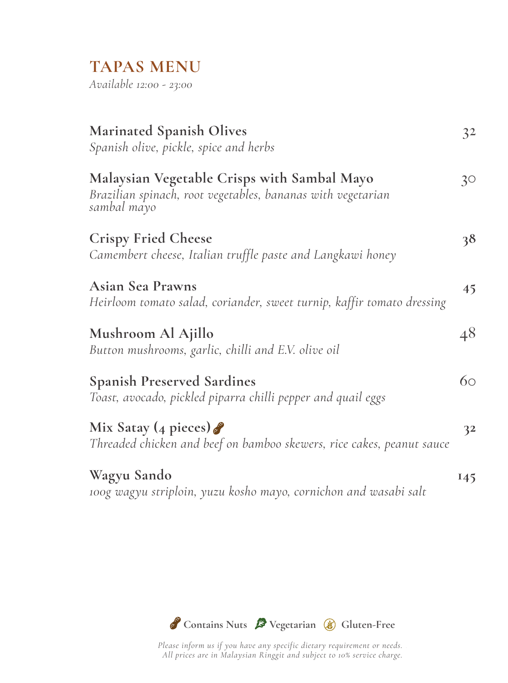## **TAPAS MENU**

*Available 12:00 - 23:00*

| <b>Marinated Spanish Olives</b><br>Spanish olive, pickle, spice and herbs                                                 | 32  |
|---------------------------------------------------------------------------------------------------------------------------|-----|
| Malaysian Vegetable Crisps with Sambal Mayo<br>Brazilian spinach, root vegetables, bananas with vegetarian<br>sambal mayo | 30  |
| <b>Crispy Fried Cheese</b><br>Camembert cheese, Italian truffle paste and Langkawi honey                                  | 38  |
| <b>Asian Sea Prawns</b><br>Heirloom tomato salad, coriander, sweet turnip, kaffir tomato dressing                         | 45  |
| Mushroom Al Ajillo<br>Button mushrooms, garlic, chilli and E.V. olive oil                                                 | 48  |
| <b>Spanish Preserved Sardines</b><br>Toast, avocado, pickled piparra chilli pepper and quail eggs                         | 60  |
| Mix Satay (4 pieces)<br>Threaded chicken and beef on bamboo skewers, rice cakes, peanut sauce                             | 32  |
| Wagyu Sando<br>100g wagyu striploin, yuzu kosho mayo, cornichon and wasabi salt                                           | 145 |



*Please inform us if you have any specific dietary requirement or needs. . All prices are in Malaysian Ringgit and subject to 10% service charge.*